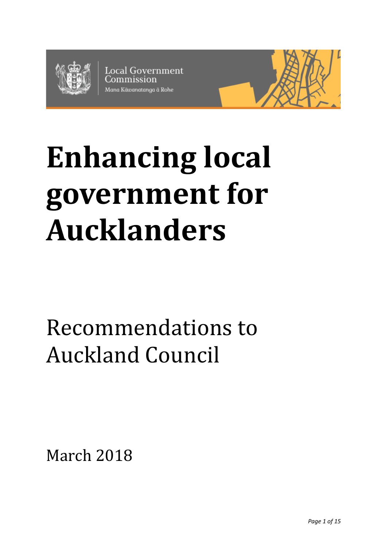

**Local Government** Mana Kāwanatanga ā Rohe



# **Enhancing local government for Aucklanders**

## Recommendations to Auckland Council

March 2018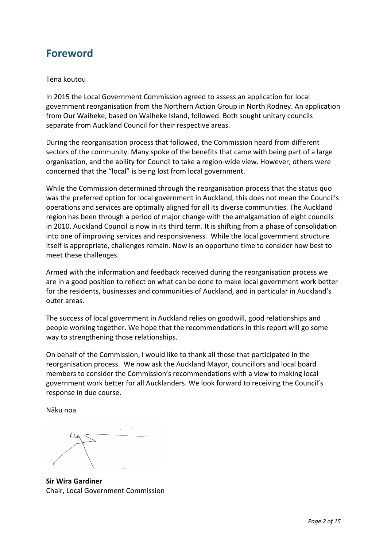## **Foreword**

#### Tēnā koutou

In 2015 the Local Government Commission agreed to assess an application for local government reorganisation from the Northern Action Group in North Rodney. An application from Our Waiheke, based on Waiheke Island, followed. Both sought unitary councils separate from Auckland Council for their respective areas.

During the reorganisation process that followed, the Commission heard from different sectors of the community. Many spoke of the benefits that came with being part of a large organisation, and the ability for Council to take a region-wide view. However, others were concerned that the "local" is being lost from local government.

While the Commission determined through the reorganisation process that the status quo was the preferred option for local government in Auckland, this does not mean the Council's operations and services are optimally aligned for all its diverse communities. The Auckland region has been through a period of major change with the amalgamation of eight councils in 2010. Auckland Council is now in its third term. It is shifting from a phase of consolidation into one of improving services and responsiveness. While the local government structure itself is appropriate, challenges remain. Now is an opportune time to consider how best to meet these challenges.

Armed with the information and feedback received during the reorganisation process we are in a good position to reflect on what can be done to make local government work better for the residents, businesses and communities of Auckland, and in particular in Auckland's outer areas.

The success of local government in Auckland relies on goodwill, good relationships and people working together. We hope that the recommendations in this report will go some way to strengthening those relationships.

On behalf of the Commission, I would like to thank all those that participated in the reorganisation process. We now ask the Auckland Mayor, councillors and local board members to consider the Commission's recommendations with a view to making local government work better for all Aucklanders. We look forward to receiving the Council's response in due course.

Nāku noa

**Sir Wira Gardiner** Chair, Local Government Commission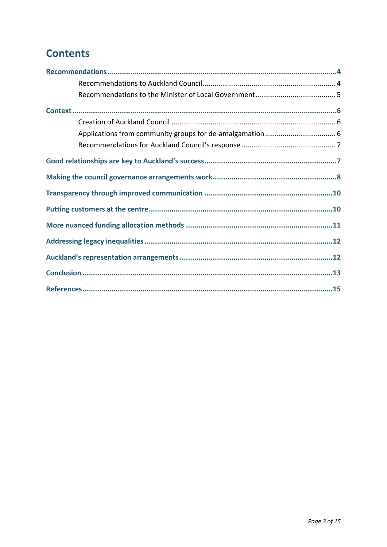## **Contents**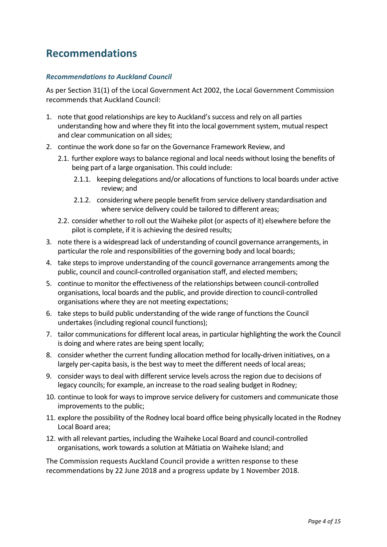## <span id="page-3-0"></span>**Recommendations**

#### <span id="page-3-1"></span>*Recommendations to Auckland Council*

As per Section 31(1) of the Local Government Act 2002, the Local Government Commission recommends that Auckland Council:

- 1. note that good relationships are key to Auckland's success and rely on all parties understanding how and where they fit into the local government system, mutual respect and clear communication on all sides;
- 2. continue the work done so far on the Governance Framework Review, and
	- 2.1. further explore ways to balance regional and local needs without losing the benefits of being part of a large organisation. This could include:
		- 2.1.1. keeping delegations and/or allocations of functions to local boards under active review; and
		- 2.1.2. considering where people benefit from service delivery standardisation and where service delivery could be tailored to different areas;
	- 2.2. consider whether to roll out the Waiheke pilot (or aspects of it) elsewhere before the pilot is complete, if it is achieving the desired results;
- 3. note there is a widespread lack of understanding of council governance arrangements, in particular the role and responsibilities of the governing body and local boards;
- 4. take steps to improve understanding of the council governance arrangements among the public, council and council-controlled organisation staff, and elected members;
- 5. continue to monitor the effectiveness of the relationships between council-controlled organisations, local boards and the public, and provide direction to council-controlled organisations where they are not meeting expectations;
- 6. take steps to build public understanding of the wide range of functions the Council undertakes (including regional council functions);
- 7. tailor communications for different local areas, in particular highlighting the work the Council is doing and where rates are being spent locally;
- 8. consider whether the current funding allocation method for locally-driven initiatives, on a largely per-capita basis, is the best way to meet the different needs of local areas;
- 9. consider ways to deal with different service levels across the region due to decisions of legacy councils; for example, an increase to the road sealing budget in Rodney;
- 10. continue to look for ways to improve service delivery for customers and communicate those improvements to the public;
- 11. explore the possibility of the Rodney local board office being physically located in the Rodney Local Board area;
- 12. with all relevant parties, including the Waiheke Local Board and council-controlled organisations, work towards a solution at Mātiatia on Waiheke Island; and

The Commission requests Auckland Council provide a written response to these recommendations by 22 June 2018 and a progress update by 1 November 2018.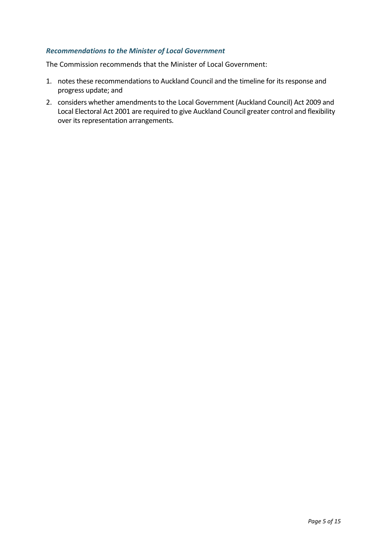#### <span id="page-4-0"></span>*Recommendations to the Minister of Local Government*

The Commission recommends that the Minister of Local Government:

- 1. notes these recommendations to Auckland Council and the timeline for its response and progress update; and
- 2. considers whether amendments to the Local Government (Auckland Council) Act 2009 and Local Electoral Act 2001 are required to give Auckland Council greater control and flexibility over its representation arrangements.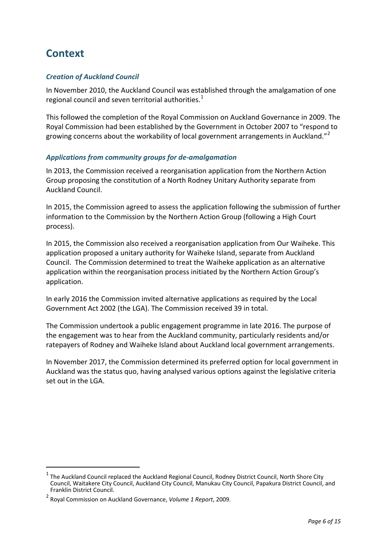## <span id="page-5-0"></span>**Context**

#### <span id="page-5-1"></span>*Creation of Auckland Council*

In November 2010, the Auckland Council was established through the amalgamation of one regional council and seven territorial authorities.<sup>[1](#page-5-3)</sup>

This followed the completion of the Royal Commission on Auckland Governance in 2009. The Royal Commission had been established by the Government in October 2007 to "respond to growing concerns about the workability of local government arrangements in Auckland."<sup>[2](#page-5-4)</sup>

#### <span id="page-5-2"></span>*Applications from community groups for de-amalgamation*

In 2013, the Commission received a reorganisation application from the Northern Action Group proposing the constitution of a North Rodney Unitary Authority separate from Auckland Council.

In 2015, the Commission agreed to assess the application following the submission of further information to the Commission by the Northern Action Group (following a High Court process).

In 2015, the Commission also received a reorganisation application from Our Waiheke. This application proposed a unitary authority for Waiheke Island, separate from Auckland Council. The Commission determined to treat the Waiheke application as an alternative application within the reorganisation process initiated by the Northern Action Group's application.

In early 2016 the Commission invited alternative applications as required by the Local Government Act 2002 (the LGA). The Commission received 39 in total.

The Commission undertook a public engagement programme in late 2016. The purpose of the engagement was to hear from the Auckland community, particularly residents and/or ratepayers of Rodney and Waiheke Island about Auckland local government arrangements.

In November 2017, the Commission determined its preferred option for local government in Auckland was the status quo, having analysed various options against the legislative criteria set out in the LGA.

-

<span id="page-5-3"></span> $1$  The Auckland Council replaced the Auckland Regional Council, Rodney District Council, North Shore City Council, Waitakere City Council, Auckland City Council, Manukau City Council, Papakura District Council, and Franklin District Council.

<span id="page-5-4"></span><sup>2</sup> Royal Commission on Auckland Governance, *Volume 1 Report*, 2009.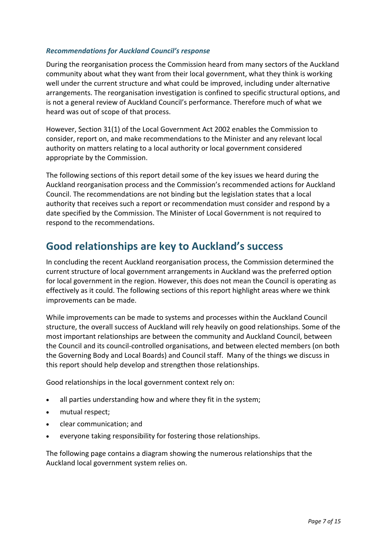#### <span id="page-6-0"></span>*Recommendations for Auckland Council's response*

During the reorganisation process the Commission heard from many sectors of the Auckland community about what they want from their local government, what they think is working well under the current structure and what could be improved, including under alternative arrangements. The reorganisation investigation is confined to specific structural options, and is not a general review of Auckland Council's performance. Therefore much of what we heard was out of scope of that process.

However, Section 31(1) of the Local Government Act 2002 enables the Commission to consider, report on, and make recommendations to the Minister and any relevant local authority on matters relating to a local authority or local government considered appropriate by the Commission.

The following sections of this report detail some of the key issues we heard during the Auckland reorganisation process and the Commission's recommended actions for Auckland Council. The recommendations are not binding but the legislation states that a local authority that receives such a report or recommendation must consider and respond by a date specified by the Commission. The Minister of Local Government is not required to respond to the recommendations.

## <span id="page-6-1"></span>**Good relationships are key to Auckland's success**

In concluding the recent Auckland reorganisation process, the Commission determined the current structure of local government arrangements in Auckland was the preferred option for local government in the region. However, this does not mean the Council is operating as effectively as it could. The following sections of this report highlight areas where we think improvements can be made.

While improvements can be made to systems and processes within the Auckland Council structure, the overall success of Auckland will rely heavily on good relationships. Some of the most important relationships are between the community and Auckland Council, between the Council and its council-controlled organisations, and between elected members (on both the Governing Body and Local Boards) and Council staff. Many of the things we discuss in this report should help develop and strengthen those relationships.

Good relationships in the local government context rely on:

- all parties understanding how and where they fit in the system;
- mutual respect;
- clear communication; and
- everyone taking responsibility for fostering those relationships.

The following page contains a diagram showing the numerous relationships that the Auckland local government system relies on.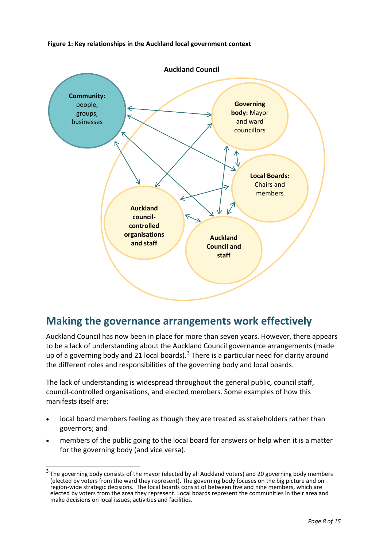**Figure 1: Key relationships in the Auckland local government context**



## <span id="page-7-0"></span>**Making the governance arrangements work effectively**

Auckland Council has now been in place for more than seven years. However, there appears to be a lack of understanding about the Auckland Council governance arrangements (made up of a governing body and 21 local boards).<sup>[3](#page-7-1)</sup> There is a particular need for clarity around the different roles and responsibilities of the governing body and local boards.

The lack of understanding is widespread throughout the general public, council staff, council-controlled organisations, and elected members. Some examples of how this manifests itself are:

- local board members feeling as though they are treated as stakeholders rather than governors; and
- members of the public going to the local board for answers or help when it is a matter for the governing body (and vice versa).

<span id="page-7-1"></span><sup>&</sup>lt;sup>3</sup> The governing body consists of the mayor (elected by all Auckland voters) and 20 governing body members (elected by voters from the ward they represent). The governing body focuses on the big picture and on region-wide strategic decisions. The local boards consist of between five and nine members, which are elected by voters from the area they represent. Local boards represent the communities in their area and make decisions on local issues, activities and facilities.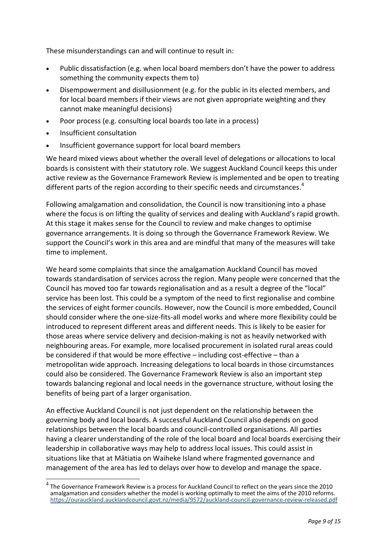These misunderstandings can and will continue to result in:

- Public dissatisfaction (e.g. when local board members don't have the power to address something the community expects them to)
- Disempowerment and disillusionment (e.g. for the public in its elected members, and for local board members if their views are not given appropriate weighting and they cannot make meaningful decisions)
- Poor process (e.g. consulting local boards too late in a process)
- Insufficient consultation
- Insufficient governance support for local board members

We heard mixed views about whether the overall level of delegations or allocations to local boards is consistent with their statutory role. We suggest Auckland Council keeps this under active review as the Governance Framework Review is implemented and be open to treating different parts of the region according to their specific needs and circumstances.<sup>[4](#page-8-0)</sup>

Following amalgamation and consolidation, the Council is now transitioning into a phase where the focus is on lifting the quality of services and dealing with Auckland's rapid growth. At this stage it makes sense for the Council to review and make changes to optimise governance arrangements. It is doing so through the Governance Framework Review. We support the Council's work in this area and are mindful that many of the measures will take time to implement.

We heard some complaints that since the amalgamation Auckland Council has moved towards standardisation of services across the region. Many people were concerned that the Council has moved too far towards regionalisation and as a result a degree of the "local" service has been lost. This could be a symptom of the need to first regionalise and combine the services of eight former councils. However, now the Council is more embedded, Council should consider where the one-size-fits-all model works and where more flexibility could be introduced to represent different areas and different needs. This is likely to be easier for those areas where service delivery and decision-making is not as heavily networked with neighbouring areas. For example, more localised procurement in isolated rural areas could be considered if that would be more effective – including cost-effective – than a metropolitan wide approach. Increasing delegations to local boards in those circumstances could also be considered. The Governance Framework Review is also an important step towards balancing regional and local needs in the governance structure, without losing the benefits of being part of a larger organisation.

An effective Auckland Council is not just dependent on the relationship between the governing body and local boards. A successful Auckland Council also depends on good relationships between the local boards and council-controlled organisations. All parties having a clearer understanding of the role of the local board and local boards exercising their leadership in collaborative ways may help to address local issues. This could assist in situations like that at Mātiatia on Waiheke Island where fragmented governance and management of the area has led to delays over how to develop and manage the space.

<span id="page-8-0"></span>The Governance Framework Review is a process for Auckland Council to reflect on the years since the 2010 amalgamation and considers whether the model is working optimally to meet the aims of the 2010 reforms. [https://ourauckland.aucklandcouncil.govt.nz/media/9572/auckland](https://ourauckland.aucklandcouncil.govt.nz/media/9572/auckland-council-governance-review-released.pdf)-council-governance-review-released.pdf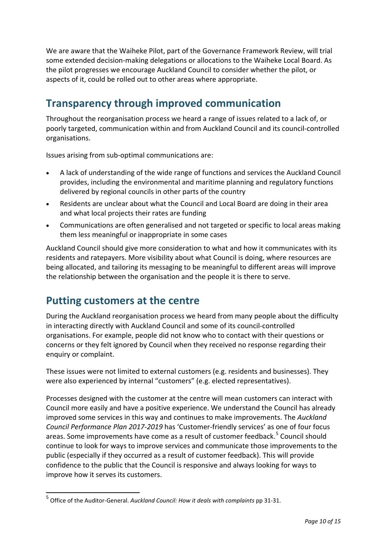We are aware that the Waiheke Pilot, part of the Governance Framework Review, will trial some extended decision-making delegations or allocations to the Waiheke Local Board. As the pilot progresses we encourage Auckland Council to consider whether the pilot, or aspects of it, could be rolled out to other areas where appropriate.

## <span id="page-9-0"></span>**Transparency through improved communication**

Throughout the reorganisation process we heard a range of issues related to a lack of, or poorly targeted, communication within and from Auckland Council and its council-controlled organisations.

Issues arising from sub-optimal communications are:

- A lack of understanding of the wide range of functions and services the Auckland Council provides, including the environmental and maritime planning and regulatory functions delivered by regional councils in other parts of the country
- Residents are unclear about what the Council and Local Board are doing in their area and what local projects their rates are funding
- Communications are often generalised and not targeted or specific to local areas making them less meaningful or inappropriate in some cases

Auckland Council should give more consideration to what and how it communicates with its residents and ratepayers. More visibility about what Council is doing, where resources are being allocated, and tailoring its messaging to be meaningful to different areas will improve the relationship between the organisation and the people it is there to serve.

## <span id="page-9-1"></span>**Putting customers at the centre**

During the Auckland reorganisation process we heard from many people about the difficulty in interacting directly with Auckland Council and some of its council-controlled organisations. For example, people did not know who to contact with their questions or concerns or they felt ignored by Council when they received no response regarding their enquiry or complaint.

These issues were not limited to external customers (e.g. residents and businesses). They were also experienced by internal "customers" (e.g. elected representatives).

Processes designed with the customer at the centre will mean customers can interact with Council more easily and have a positive experience. We understand the Council has already improved some services in this way and continues to make improvements. The *Auckland Council Performance Plan 2017-2019* has 'Customer-friendly services' as one of four focus areas. Some improvements have come as a result of customer feedback.<sup>[5](#page-9-2)</sup> Council should continue to look for ways to improve services and communicate those improvements to the public (especially if they occurred as a result of customer feedback). This will provide confidence to the public that the Council is responsive and always looking for ways to improve how it serves its customers.

<span id="page-9-2"></span><sup>5</sup> Office of the Auditor-General. *Auckland Council: How it deals with complaints* pp 31-31.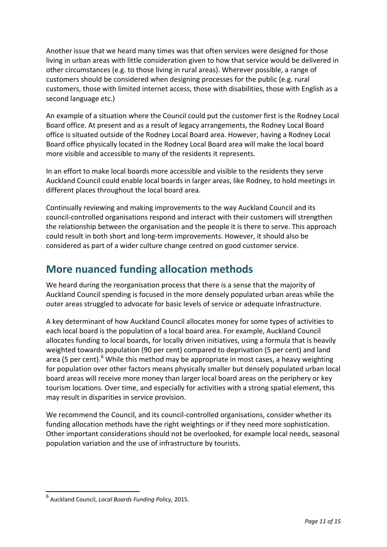Another issue that we heard many times was that often services were designed for those living in urban areas with little consideration given to how that service would be delivered in other circumstances (e.g. to those living in rural areas). Wherever possible, a range of customers should be considered when designing processes for the public (e.g. rural customers, those with limited internet access, those with disabilities, those with English as a second language etc.)

An example of a situation where the Council could put the customer first is the Rodney Local Board office. At present and as a result of legacy arrangements, the Rodney Local Board office is situated outside of the Rodney Local Board area. However, having a Rodney Local Board office physically located in the Rodney Local Board area will make the local board more visible and accessible to many of the residents it represents.

In an effort to make local boards more accessible and visible to the residents they serve Auckland Council could enable local boards in larger areas, like Rodney, to hold meetings in different places throughout the local board area.

Continually reviewing and making improvements to the way Auckland Council and its council-controlled organisations respond and interact with their customers will strengthen the relationship between the organisation and the people it is there to serve. This approach could result in both short and long-term improvements. However, it should also be considered as part of a wider culture change centred on good customer service.

## <span id="page-10-0"></span>**More nuanced funding allocation methods**

We heard during the reorganisation process that there is a sense that the majority of Auckland Council spending is focused in the more densely populated urban areas while the outer areas struggled to advocate for basic levels of service or adequate infrastructure.

A key determinant of how Auckland Council allocates money for some types of activities to each local board is the population of a local board area. For example, Auckland Council allocates funding to local boards, for locally driven initiatives, using a formula that is heavily weighted towards population (90 per cent) compared to deprivation (5 per cent) and land area (5 per cent).<sup>[6](#page-10-1)</sup> While this method may be appropriate in most cases, a heavy weighting for population over other factors means physically smaller but densely populated urban local board areas will receive more money than larger local board areas on the periphery or key tourism locations. Over time, and especially for activities with a strong spatial element, this may result in disparities in service provision.

We recommend the Council, and its council-controlled organisations, consider whether its funding allocation methods have the right weightings or if they need more sophistication. Other important considerations should not be overlooked, for example local needs, seasonal population variation and the use of infrastructure by tourists.

<span id="page-10-1"></span> <sup>6</sup> Auckland Council, *Local Boards Funding Policy,* 2015.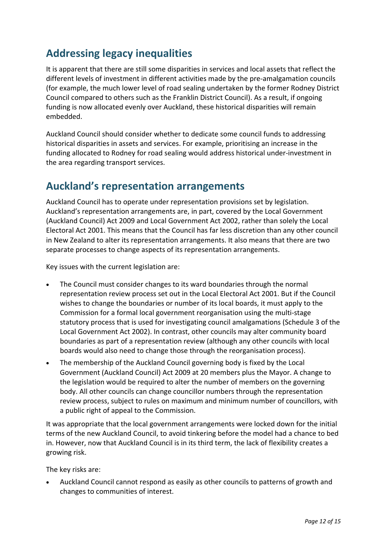## <span id="page-11-0"></span>**Addressing legacy inequalities**

It is apparent that there are still some disparities in services and local assets that reflect the different levels of investment in different activities made by the pre-amalgamation councils (for example, the much lower level of road sealing undertaken by the former Rodney District Council compared to others such as the Franklin District Council). As a result, if ongoing funding is now allocated evenly over Auckland, these historical disparities will remain embedded.

Auckland Council should consider whether to dedicate some council funds to addressing historical disparities in assets and services. For example, prioritising an increase in the funding allocated to Rodney for road sealing would address historical under-investment in the area regarding transport services.

## <span id="page-11-1"></span>**Auckland's representation arrangements**

Auckland Council has to operate under representation provisions set by legislation. Auckland's representation arrangements are, in part, covered by the Local Government (Auckland Council) Act 2009 and Local Government Act 2002, rather than solely the Local Electoral Act 2001. This means that the Council has far less discretion than any other council in New Zealand to alter its representation arrangements. It also means that there are two separate processes to change aspects of its representation arrangements.

Key issues with the current legislation are:

- The Council must consider changes to its ward boundaries through the normal representation review process set out in the Local Electoral Act 2001. But if the Council wishes to change the boundaries or number of its local boards, it must apply to the Commission for a formal local government reorganisation using the multi-stage statutory process that is used for investigating council amalgamations (Schedule 3 of the Local Government Act 2002). In contrast, other councils may alter community board boundaries as part of a representation review (although any other councils with local boards would also need to change those through the reorganisation process).
- The membership of the Auckland Council governing body is fixed by the Local Government (Auckland Council) Act 2009 at 20 members plus the Mayor. A change to the legislation would be required to alter the number of members on the governing body. All other councils can change councillor numbers through the representation review process, subject to rules on maximum and minimum number of councillors, with a public right of appeal to the Commission.

It was appropriate that the local government arrangements were locked down for the initial terms of the new Auckland Council, to avoid tinkering before the model had a chance to bed in. However, now that Auckland Council is in its third term, the lack of flexibility creates a growing risk.

The key risks are:

• Auckland Council cannot respond as easily as other councils to patterns of growth and changes to communities of interest.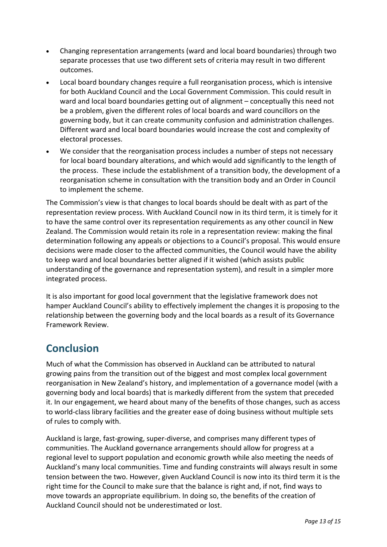- Changing representation arrangements (ward and local board boundaries) through two separate processes that use two different sets of criteria may result in two different outcomes.
- Local board boundary changes require a full reorganisation process, which is intensive for both Auckland Council and the Local Government Commission. This could result in ward and local board boundaries getting out of alignment – conceptually this need not be a problem, given the different roles of local boards and ward councillors on the governing body, but it can create community confusion and administration challenges. Different ward and local board boundaries would increase the cost and complexity of electoral processes.
- We consider that the reorganisation process includes a number of steps not necessary for local board boundary alterations, and which would add significantly to the length of the process. These include the establishment of a transition body, the development of a reorganisation scheme in consultation with the transition body and an Order in Council to implement the scheme.

The Commission's view is that changes to local boards should be dealt with as part of the representation review process. With Auckland Council now in its third term, it is timely for it to have the same control over its representation requirements as any other council in New Zealand. The Commission would retain its role in a representation review: making the final determination following any appeals or objections to a Council's proposal. This would ensure decisions were made closer to the affected communities, the Council would have the ability to keep ward and local boundaries better aligned if it wished (which assists public understanding of the governance and representation system), and result in a simpler more integrated process.

It is also important for good local government that the legislative framework does not hamper Auckland Council's ability to effectively implement the changes it is proposing to the relationship between the governing body and the local boards as a result of its Governance Framework Review.

## <span id="page-12-0"></span>**Conclusion**

Much of what the Commission has observed in Auckland can be attributed to natural growing pains from the transition out of the biggest and most complex local government reorganisation in New Zealand's history, and implementation of a governance model (with a governing body and local boards) that is markedly different from the system that preceded it. In our engagement, we heard about many of the benefits of those changes, such as access to world-class library facilities and the greater ease of doing business without multiple sets of rules to comply with.

Auckland is large, fast-growing, super-diverse, and comprises many different types of communities. The Auckland governance arrangements should allow for progress at a regional level to support population and economic growth while also meeting the needs of Auckland's many local communities. Time and funding constraints will always result in some tension between the two. However, given Auckland Council is now into its third term it is the right time for the Council to make sure that the balance is right and, if not, find ways to move towards an appropriate equilibrium. In doing so, the benefits of the creation of Auckland Council should not be underestimated or lost.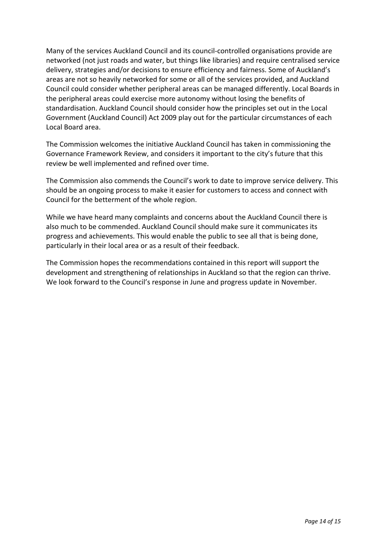Many of the services Auckland Council and its council-controlled organisations provide are networked (not just roads and water, but things like libraries) and require centralised service delivery, strategies and/or decisions to ensure efficiency and fairness. Some of Auckland's areas are not so heavily networked for some or all of the services provided, and Auckland Council could consider whether peripheral areas can be managed differently. Local Boards in the peripheral areas could exercise more autonomy without losing the benefits of standardisation. Auckland Council should consider how the principles set out in the Local Government (Auckland Council) Act 2009 play out for the particular circumstances of each Local Board area.

The Commission welcomes the initiative Auckland Council has taken in commissioning the Governance Framework Review, and considers it important to the city's future that this review be well implemented and refined over time.

The Commission also commends the Council's work to date to improve service delivery. This should be an ongoing process to make it easier for customers to access and connect with Council for the betterment of the whole region.

While we have heard many complaints and concerns about the Auckland Council there is also much to be commended. Auckland Council should make sure it communicates its progress and achievements. This would enable the public to see all that is being done, particularly in their local area or as a result of their feedback.

The Commission hopes the recommendations contained in this report will support the development and strengthening of relationships in Auckland so that the region can thrive. We look forward to the Council's response in June and progress update in November.